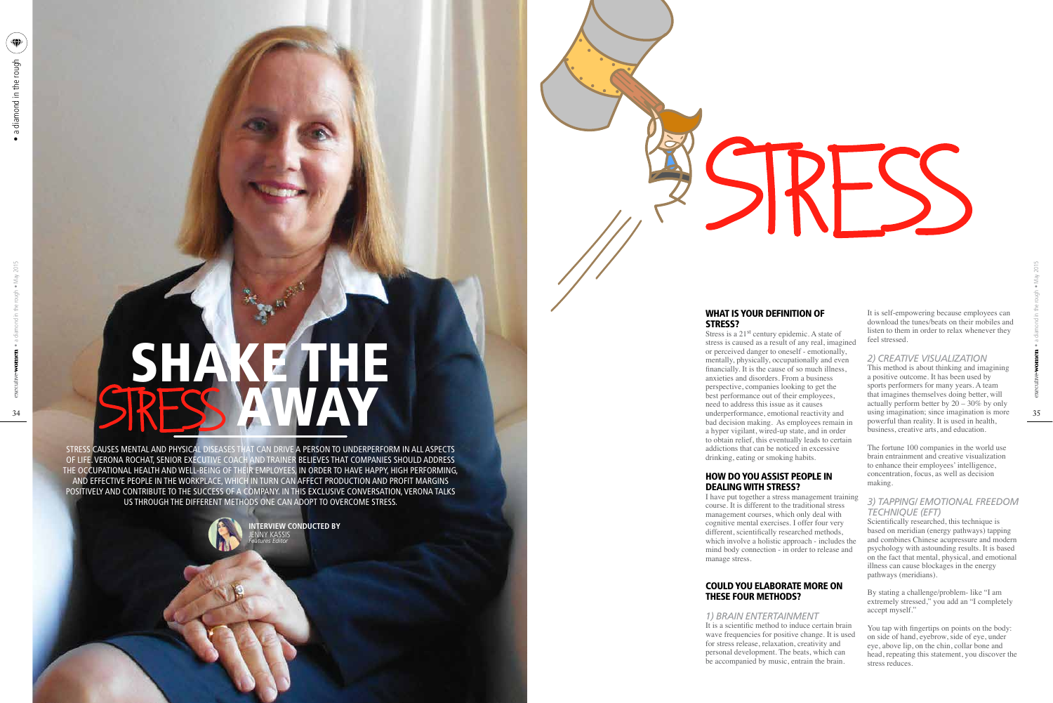## WHAT I S YOU R DEFINITION OF S T R ESS ?

Stress is a 21<sup>st</sup> century epidemic. A state of stress is caused as a result of any real, imagined or perceived danger to oneself - emotionally, mentally, physically, occupationally and even financially. It is the cause of so much illness, anxieties and disorders. From a business perspective, companies looking to get the best performance out of their employees, need to address this issue as it causes underperformance, emotional reactivity and bad decision making. As employees remain in a hyper vigilant, wired-up state, and in order to obtain relief, this eventually leads to certain addictions that can be noticed in excessive drinking, eating or smoking habits.

# HOW DO YOU ASSIST PEOPLE IN DEALING WITH STRESS?

## COULD YOU ELABORATE MORE ON THE SE FOU R METHOD S ?

I have put together a stress management training course. It is different to the traditional stress management courses, which only deal with cognitive mental exercises. I offer four very different, scientifically researched methods, which involve a holistic approach - includes the mind body connection - in order to release and manage stress.

Scientifically researched, this technique is based on meridian (energy pathways) tapping and combines Chinese acupressure and modern psychology with astounding results. It is based on the fact that mental, physical, and emotional illness can cause blockages in the energy pathways (meridians).

*1) BRAIN ENTERTAINMENT* It is a scientific method to induce certain brain wave frequencies for positive change. It is used for stress release, relaxation, creativity and personal development. The beats, which can be accompanied by music, entrain the brain.



You tap with fingertips on points on the body: on side of hand, eyebrow, side of eye, under eye, above lip, on the chin, collar bone and head, repeating this statement, you discover the stress reduces.

# SHA KE THE RESS AWAY

It is self-empowering because employees can download the tunes/beats on their mobiles and listen to them in order to relax whenever they feel stressed.

### *2) CREATIVE VISUALIZATION*

STRESS CAUSES MENTAL AND PHYSICAL DISEASES THAT CAN DRIVE A PERSON TO UNDERPERFORM IN ALL ASPECTS OF LIFE. VERONA ROCHAT, SENIOR EXECUTIVE COACH AND TRAINER BELIEVES THAT COMPANIES SHOULD ADDRESS THE OCCUPATIONAL HEALTH AND WELL-BEING OF THEIR EMPLOYEES, IN ORDER TO HAVE HAPPY, HIGH PERFORMING, AND EFFECTIVE PEOPLE IN THE WORKPLACE, WHICH IN TURN CAN AFFECT PRODUCTION AND PROFIT MARGINS POSITIVELY AND CONTRIBUTE TO THE SUCCESS OF A COMPANY. IN THIS EXCLUSIVE CONVERSATION, VERONA TALKS US T HROUG H T HE DIFFERENT MET HODS ONE CAN ADOPT TO OVERCO ME STRESS.

This method is about thinking and imagining a positive outcome. It has been used by sports performers for many years. A team that imagines themselves doing better, will actually perform better by 20 – 30% by only using imagination; since imagination is more powerful than reality. It is used in health, business, creative arts, and education.

The fortune 100 companies in the world use brain entrainment and creative visualization to enhance their employees' intelligence, concentration, focus, as well as decision making.

## *3) TAPPING/ EMOTIONAL FREEDOM TE CHNIQUE (EF T)*

By stating a challenge/problem- like "I am extremely stressed," you add an "I completely accept myself."